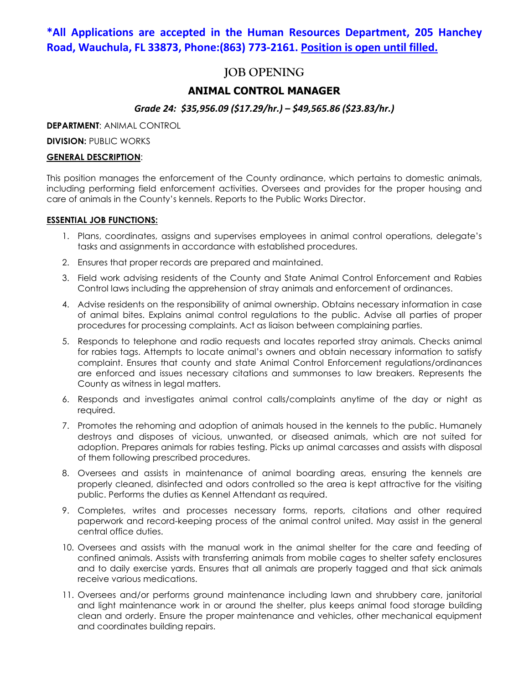## **\*All Applications are accepted in the Human Resources Department, 205 Hanchey Road, Wauchula, FL 33873, Phone:(863) 773-2161. Position is open until filled.**

# **JOB OPENING**

## **ANIMAL CONTROL MANAGER**

## *Grade 24: \$35,956.09 (\$17.29/hr.) – \$49,565.86 (\$23.83/hr.)*

**DEPARTMENT**: ANIMAL CONTROL

**DIVISION: PUBLIC WORKS** 

#### **GENERAL DESCRIPTION**:

This position manages the enforcement of the County ordinance, which pertains to domestic animals, including performing field enforcement activities. Oversees and provides for the proper housing and care of animals in the County's kennels. Reports to the Public Works Director.

#### **ESSENTIAL JOB FUNCTIONS:**

- 1. Plans, coordinates, assigns and supervises employees in animal control operations, delegate's tasks and assignments in accordance with established procedures.
- 2. Ensures that proper records are prepared and maintained.
- 3. Field work advising residents of the County and State Animal Control Enforcement and Rabies Control laws including the apprehension of stray animals and enforcement of ordinances.
- 4. Advise residents on the responsibility of animal ownership. Obtains necessary information in case of animal bites. Explains animal control regulations to the public. Advise all parties of proper procedures for processing complaints. Act as liaison between complaining parties.
- 5. Responds to telephone and radio requests and locates reported stray animals. Checks animal for rabies tags. Attempts to locate animal's owners and obtain necessary information to satisfy complaint. Ensures that county and state Animal Control Enforcement regulations/ordinances are enforced and issues necessary citations and summonses to law breakers. Represents the County as witness in legal matters.
- 6. Responds and investigates animal control calls/complaints anytime of the day or night as required.
- 7. Promotes the rehoming and adoption of animals housed in the kennels to the public. Humanely destroys and disposes of vicious, unwanted, or diseased animals, which are not suited for adoption. Prepares animals for rabies testing. Picks up animal carcasses and assists with disposal of them following prescribed procedures.
- 8. Oversees and assists in maintenance of animal boarding areas, ensuring the kennels are properly cleaned, disinfected and odors controlled so the area is kept attractive for the visiting public. Performs the duties as Kennel Attendant as required.
- 9. Completes, writes and processes necessary forms, reports, citations and other required paperwork and record-keeping process of the animal control united. May assist in the general central office duties.
- 10. Oversees and assists with the manual work in the animal shelter for the care and feeding of confined animals. Assists with transferring animals from mobile cages to shelter safety enclosures and to daily exercise yards. Ensures that all animals are properly tagged and that sick animals receive various medications.
- 11. Oversees and/or performs ground maintenance including lawn and shrubbery care, janitorial and light maintenance work in or around the shelter, plus keeps animal food storage building clean and orderly. Ensure the proper maintenance and vehicles, other mechanical equipment and coordinates building repairs.